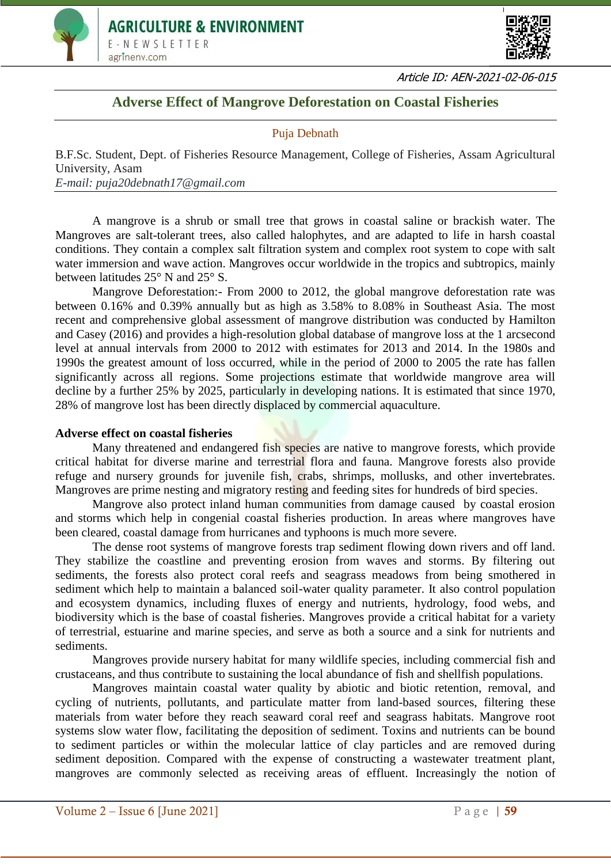



Article ID: AEN-2021-02-06-015

## **Adverse Effect of Mangrove Deforestation on Coastal Fisheries**

## Puja Debnath

B.F.Sc. Student, Dept. of Fisheries Resource Management, College of Fisheries, Assam Agricultural University, Asam *E-mail: puja20debnath17@gmail.com*

A mangrove is a shrub or small tree that grows in coastal saline or brackish water. The Mangroves are salt-tolerant trees, also called halophytes, and are adapted to life in harsh coastal conditions. They contain a complex salt filtration system and complex root system to cope with salt water immersion and wave action. Mangroves occur worldwide in the tropics and subtropics, mainly between latitudes 25° N and 25° S.

Mangrove Deforestation:- From 2000 to 2012, the global mangrove deforestation rate was between 0.16% and 0.39% annually but as high as 3.58% to 8.08% in Southeast Asia. The most recent and comprehensive global assessment of mangrove distribution was conducted by Hamilton and Casey (2016) and provides a high-resolution global database of mangrove loss at the 1 arcsecond level at annual intervals from 2000 to 2012 with estimates for 2013 and 2014. In the 1980s and 1990s the greatest amount of loss occurred, while in the period of 2000 to 2005 the rate has fallen significantly across all regions. Some projections estimate that worldwide mangrove area will decline by a further 25% by 2025, particularly in developing nations. It is estimated that since 1970, 28% of mangrove lost has been directly displaced by commercial aquaculture.

## **Adverse effect on coastal fisheries**

Many threatened and endangered fish species are native to mangrove forests, which provide critical habitat for diverse marine and terrestrial flora and fauna. Mangrove forests also provide refuge and nursery grounds for juvenile fish, crabs, shrimps, mollusks, and other invertebrates. Mangroves are prime nesting and migratory resting and feeding sites for hundreds of bird species.

Mangrove also protect inland human communities from damage caused by coastal erosion and storms which help in congenial coastal fisheries production. In areas where mangroves have been cleared, coastal damage from hurricanes and typhoons is much more severe.

The dense root systems of mangrove forests trap sediment flowing down rivers and off land. They stabilize the coastline and preventing erosion from waves and storms. By filtering out sediments, the forests also protect coral reefs and seagrass meadows from being smothered in sediment which help to maintain a balanced soil-water quality parameter. It also control population and ecosystem dynamics, including fluxes of energy and nutrients, hydrology, food webs, and biodiversity which is the base of coastal fisheries. Mangroves provide a critical habitat for a variety of terrestrial, estuarine and marine species, and serve as both a source and a sink for nutrients and sediments.

Mangroves provide nursery habitat for many wildlife species, including commercial fish and crustaceans, and thus contribute to sustaining the local abundance of fish and shellfish populations.

Mangroves maintain coastal water quality by abiotic and biotic retention, removal, and cycling of nutrients, pollutants, and particulate matter from land-based sources, filtering these materials from water before they reach seaward coral reef and seagrass habitats. Mangrove root systems slow water flow, facilitating the deposition of sediment. Toxins and nutrients can be bound to sediment particles or within the molecular lattice of clay particles and are removed during sediment deposition. Compared with the expense of constructing a wastewater treatment plant, mangroves are commonly selected as receiving areas of effluent. Increasingly the notion of